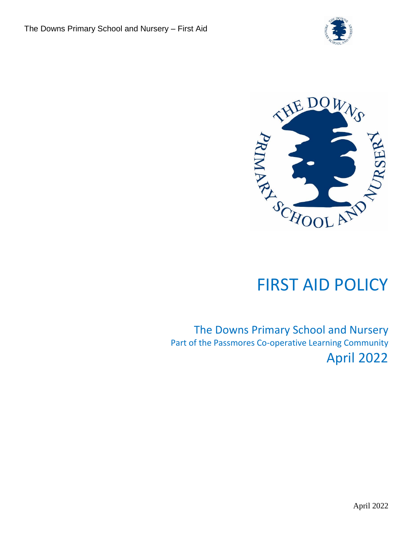



# FIRST AID POLICY

The Downs Primary School and Nursery Part of the Passmores Co-operative Learning Community April 2022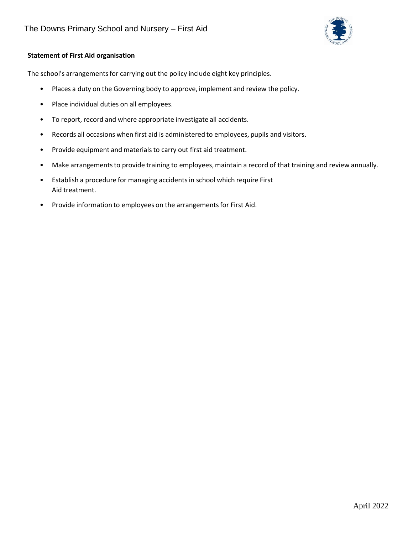

# **Statement of First Aid organisation**

The school's arrangements for carrying out the policy include eight key principles.

- Places a duty on the Governing body to approve, implement and review the policy.
- Place individual duties on all employees.
- To report, record and where appropriate investigate all accidents.
- Records all occasions when first aid is administered to employees, pupils and visitors.
- Provide equipment and materials to carry out first aid treatment.
- Make arrangements to provide training to employees, maintain a record of that training and review annually.
- Establish a procedure for managing accidents in school which require First Aid treatment.
- Provide information to employees on the arrangements for First Aid.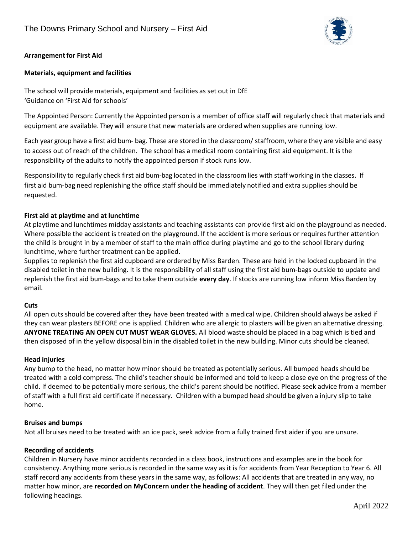

# **Arrangementfor First Aid**

## **Materials, equipment and facilities**

The school will provide materials, equipment and facilities as set out in DfE 'Guidance on 'First Aid for schools'

The Appointed Person: Currently the Appointed person is a member of office staff will regularly check that materials and equipment are available. They will ensure that new materials are ordered when supplies are running low.

Each year group have a first aid bum- bag. These are stored in the classroom/ staffroom, where they are visible and easy to access out of reach of the children. The school has a medical room containing first aid equipment. It is the responsibility of the adults to notify the appointed person if stock runs low.

Responsibility to regularly check first aid bum-bag located in the classroom lies with staff working in the classes. If first aid bum-bag need replenishing the office staff should be immediately notified and extra suppliesshould be requested.

## **First aid at playtime and at lunchtime**

At playtime and lunchtimes midday assistants and teaching assistants can provide first aid on the playground as needed. Where possible the accident is treated on the playground. If the accident is more serious or requires further attention the child is brought in by a member of staff to the main office during playtime and go to the school library during lunchtime, where further treatment can be applied.

Supplies to replenish the first aid cupboard are ordered by Miss Barden. These are held in the locked cupboard in the disabled toilet in the new building. It is the responsibility of all staff using the first aid bum-bags outside to update and replenish the first aid bum-bags and to take them outside **every day**. If stocks are running low inform Miss Barden by email.

## **Cuts**

All open cuts should be covered after they have been treated with a medical wipe. Children should always be asked if they can wear plasters BEFORE one is applied. Children who are allergic to plasters will be given an alternative dressing. **ANYONE TREATING AN OPEN CUT MUST WEAR GLOVES.** All blood waste should be placed in a bag which is tied and then disposed of in the yellow disposal bin in the disabled toilet in the new building. Minor cuts should be cleaned.

## **Head injuries**

Any bump to the head, no matter how minor should be treated as potentially serious. All bumped heads should be treated with a cold compress. The child's teacher should be informed and told to keep a close eye on the progress of the child. If deemed to be potentially more serious, the child's parent should be notified. Please seek advice from a member of staff with a full first aid certificate if necessary. Children with a bumped head should be given a injury slip to take home.

## **Bruises and bumps**

Not all bruises need to be treated with an ice pack, seek advice from a fully trained first aider if you are unsure.

# **Recording of accidents**

Children in Nursery have minor accidents recorded in a class book, instructions and examples are in the book for consistency. Anything more serious is recorded in the same way as it is for accidents from Year Reception to Year 6. All staff record any accidents from these years in the same way, as follows: All accidents that are treated in any way, no matter how minor, are **recorded on MyConcern under the heading of accident**. They will then get filed under the following headings.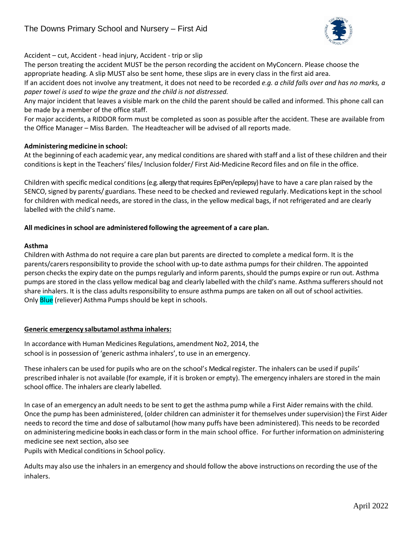

Accident – cut, Accident - head injury, Accident - trip or slip

The person treating the accident MUST be the person recording the accident on MyConcern. Please choose the appropriate heading. A slip MUST also be sent home, these slips are in every class in the first aid area.

If an accident does not involve any treatment, it does not need to be recorded *e.g. a child falls over and has no marks, a paper towel is used to wipe the graze and the child is not distressed.*

Any major incident that leaves a visible mark on the child the parent should be called and informed. This phone call can be made by a member of the office staff.

For major accidents, a RIDDOR form must be completed as soon as possible after the accident. These are available from the Office Manager – Miss Barden. The Headteacher will be advised of all reports made.

## **Administering medicine in school:**

At the beginning of each academic year, any medical conditions are shared with staff and a list of these children and their conditionsis kept in the Teachers' files/ Inclusion folder/ First Aid-Medicine Record files and on file in the office.

Children with specific medical conditions(e.g. allergy that requires EpiPen/epilepsy) have to have a care plan raised by the SENCO, signed by parents/ guardians. These need to be checked and reviewed regularly. Medications kept in the school for children with medical needs, are stored in the class, in the yellow medical bags, if not refrigerated and are clearly labelled with the child's name.

## **All medicinesin school are administered following the agreement of a care plan.**

## **Asthma**

Children with Asthma do not require a care plan but parents are directed to complete a medical form. It is the parents/carersresponsibility to provide the school with up-to date asthma pumps for their children. The appointed person checks the expiry date on the pumps regularly and inform parents, should the pumps expire or run out. Asthma pumps are stored in the class yellow medical bag and clearly labelled with the child's name. Asthma sufferersshould not share inhalers. It is the class adults responsibility to ensure asthma pumps are taken on all out of school activities. Only **Blue** (reliever) Asthma Pumps should be kept in schools.

## **Generic emergency salbutamol asthma inhalers:**

In accordance with Human Medicines Regulations, amendment No2, 2014, the school is in possession of 'generic asthma inhalers', to use in an emergency.

These inhalers can be used for pupils who are on the school's Medical register. The inhalers can be used if pupils' prescribed inhaler is not available (for example, if it is broken or empty). The emergency inhalers are stored in the main school office. The inhalers are clearly labelled.

In case of an emergency an adult needs to be sent to get the asthma pump while a First Aider remains with the child. Once the pump has been administered, (older children can administer it for themselves under supervision) the First Aider needs to record the time and dose of salbutamol (how many puffs have been administered). This needs to be recorded on administeringmedicine books in each class or form in the main school office. For further information on administering medicine see next section, also see

Pupils with Medical conditions in School policy.

Adults may also use the inhalersin an emergency and should follow the above instructions on recording the use of the inhalers.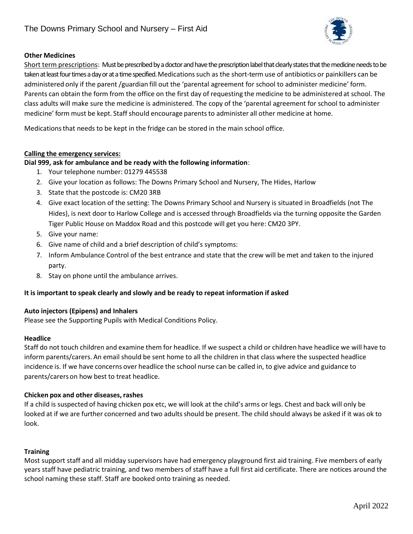

# **Other Medicines**

Short term prescriptions: Must be prescribed by a doctor and have the prescription label that clearly states that the medicine needs to be taken at least four times a day or at a time specified. Medications such as the short-term use of antibiotics or painkillers can be administered only if the parent /guardian fill out the 'parental agreement for school to administer medicine' form. Parents can obtain the form from the office on the first day of requesting the medicine to be administered at school. The class adults will make sure the medicine is administered. The copy of the 'parental agreement for school to administer medicine' form must be kept. Staff should encourage parentsto administer all other medicine at home.

Medicationsthat needs to be kept in the fridge can be stored in the main school office.

## **Calling the emergency services:**

## **Dial 999, ask for ambulance and be ready with the following information**:

- 1. Your telephone number: 01279 445538
- 2. Give your location as follows: The Downs Primary School and Nursery, The Hides, Harlow
- 3. State that the postcode is: CM20 3RB
- 4. Give exact location of the setting: The Downs Primary School and Nursery is situated in Broadfields (not The Hides), is next door to Harlow College and is accessed through Broadfields via the turning opposite the Garden Tiger Public House on Maddox Road and this postcode will get you here: CM20 3PY.
- 5. Give your name:
- 6. Give name of child and a brief description of child's symptoms:
- 7. Inform Ambulance Control of the best entrance and state that the crew will be met and taken to the injured party.
- 8. Stay on phone until the ambulance arrives.

# **It is important to speak clearly and slowly and be ready to repeat information if asked**

## **Auto injectors (Epipens) and Inhalers**

Please see the Supporting Pupils with Medical Conditions Policy.

## **Headlice**

Staff do not touch children and examine them for headlice. If we suspect a child or children have headlice we will have to inform parents/carers. An email should be sent home to all the children in that class where the suspected headlice incidence is. If we have concerns over headlice the school nurse can be called in, to give advice and guidance to parents/carers on how best to treat headlice.

## **Chicken pox and other diseases,rashes**

If a child is suspected of having chicken pox etc, we will look at the child's arms or legs. Chest and back will only be looked at if we are further concerned and two adults should be present. The child should always be asked if it was ok to look.

## **Training**

Most support staff and all midday supervisors have had emergency playground first aid training. Five members of early years staff have pediatric training, and two members of staff have a full first aid certificate. There are notices around the school naming these staff. Staff are booked onto training as needed.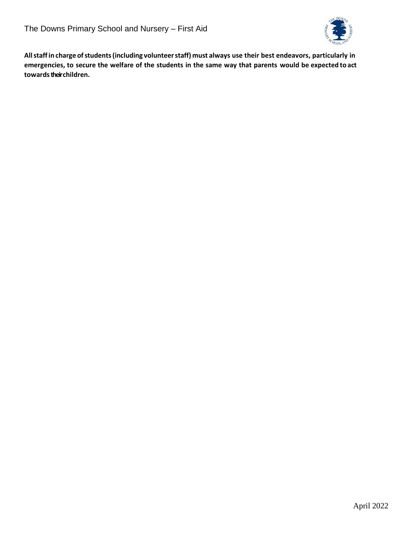

**Allstaffin charge ofstudents(including volunteerstaff) must always use their best endeavors, particularly in** emergencies, to secure the welfare of the students in the same way that parents would be expected to act towards their children.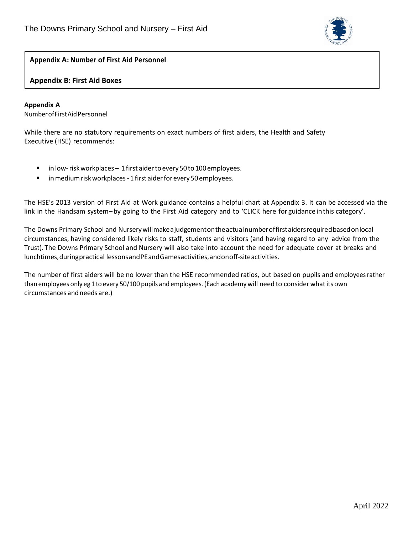

# **Appendix A: Number of First Aid Personnel**

## **Appendix B: First Aid Boxes**

## **Appendix A**

NumberofFirstAidPersonnel

While there are no statutory requirements on exact numbers of first aiders, the Health and Safety Executive (HSE) recommends:

- in low-risk workplaces 1 first aider to every 50 to 100 employees.
- in medium risk workplaces 1 first aider for every 50 employees.

The HSE's 2013 version of First Aid at Work guidance contains a helpful chart at Appendix 3. It can be accessed via the link in the Handsam system–by going to the First Aid category and to 'CLICK here for guidance inthis category'.

The Downs Primary School and Nurserywillmakeajudgementontheactualnumberoffirstaidersrequiredbasedonlocal circumstances, having considered likely risks to staff, students and visitors (and having regard to any advice from the Trust). The Downs Primary School and Nursery will also take into account the need for adequate cover at breaks and lunchtimes, during practical lessons and PE and Games activities, and on off-site activities.

The number of first aiders will be no lower than the HSE recommended ratios, but based on pupils and employeesrather than employees only eg 1 to every 50/100 pupils and employees. (Each academywill need to consider whatitsown circumstances andneeds are.)